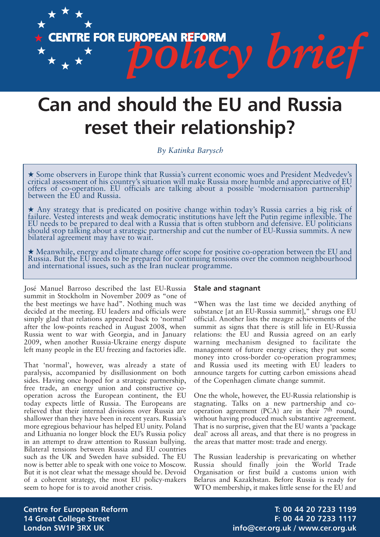

# **Can and should the EU and Russia reset their relationship?**

*By Katinka Barysch*

**★** Some observers in Europe think that Russia's current economic woes and President Medvedev's critical assessment of his country's situation will make Russia more humble and appreciative of EU offers of co-operation. EU officials are talking about <sup>a</sup> possible 'modernisation partnership' between the EU and Russia.

**★** Any strategy that is predicated on positive change within today's Russia carries a big risk of failure. Vested interests and weak democratic institutions have left the Putin regime inflexible. The EU needs to be prepared to deal with a Russia that is often stubborn and defensive. EU politicians should stop talking about a strategic partnership and cut the number of EU-Russia summits. A new bilateral agreement may have to wait.

**★** Meanwhile, energy and climate change offer scope for positive co-operation between the EU and Russia. But the EU needs to be prepared for continuing tensions over the common neighbourhood and international issues, such as the Iran nuclear programme.

José Manuel Barroso described the last EU-Russia summit in Stockholm in November 2009 as "one of the best meetings we have had". Nothing much was decided at the meeting. EU leaders and officials were simply glad that relations appeared back to 'normal' after the low-points reached in August 2008, when Russia went to war with Georgia, and in January 2009, when another Russia-Ukraine energy dispute left many people in the EU freezing and factories idle.

That 'normal', however, was already a state of paralysis, accompanied by disillusionment on both sides. Having once hoped for a strategic partnership, free trade, an energy union and constructive cooperation across the European continent, the EU today expects little of Russia. The Europeans are relieved that their internal divisions over Russia are shallower than they have been in recent years. Russia's more egregious behaviour has helped EU unity. Poland and Lithuania no longer block the EU's Russia policy in an attempt to draw attention to Russian bullying. Bilateral tensions between Russia and EU countries such as the UK and Sweden have subsided. The EU now is better able to speak with one voice to Moscow. But it is not clear what the message should be. Devoid of a coherent strategy, the most EU policy-makers seem to hope for is to avoid another crisis.

## **Stale and stagnant**

"When was the last time we decided anything of substance [at an EU-Russia summit]," shrugs one EU official. Another lists the meagre achievements of the summit as signs that there is still life in EU-Russia relations: the EU and Russia agreed on an early warning mechanism designed to facilitate the management of future energy crises; they put some money into cross-border co-operation programmes; and Russia used its meeting with EU leaders to announce targets for cutting carbon emissions ahead of the Copenhagen climate change summit.

One the whole, however, the EU-Russia relationship is stagnating. Talks on a new partnership and cooperation agreement (PCA) are in their 7th round, without having produced much substantive agreement. That is no surprise, given that the EU wants a 'package deal' across all areas, and that there is no progress in the areas that matter most: trade and energy.

The Russian leadership is prevaricating on whether Russia should finally join the World Trade Organisation or first build a customs union with Belarus and Kazakhstan. Before Russia is ready for WTO membership, it makes little sense for the EU and

**Centre for European Reform T: 00 44 20 7233 1199 14 Great College Street F: 00 44 20 7233 1117 London SW1P 3RX UK info@cer.org.uk / www.cer.org.uk**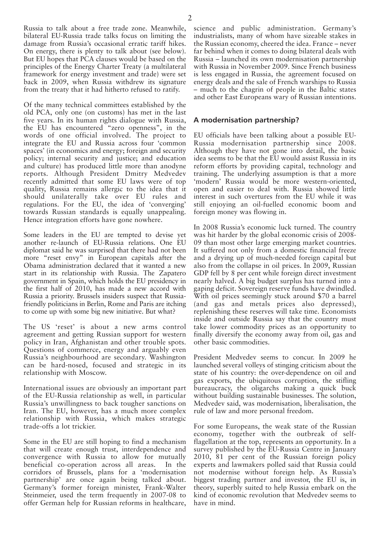Russia to talk about a free trade zone. Meanwhile, bilateral EU-Russia trade talks focus on limiting the damage from Russia's occasional erratic tariff hikes. On energy, there is plenty to talk about (see below). But EU hopes that PCA clauses would be based on the principles of the Energy Charter Treaty (a multilateral framework for energy investment and trade) were set back in 2009, when Russia withdrew its signature from the treaty that it had hitherto refused to ratify.

Of the many technical committees established by the old PCA, only one (on customs) has met in the last five years. In its human rights dialogue with Russia, the EU has encountered "zero openness", in the words of one official involved. The project to integrate the EU and Russia across four 'common spaces' (in economics and energy; foreign and security policy; internal security and justice; and education and culture) has produced little more than anodyne reports. Although President Dmitry Medvedev recently admitted that some EU laws were of top quality, Russia remains allergic to the idea that it should unilaterally take over EU rules and regulations. For the EU, the idea of 'converging' towards Russian standards is equally unappealing. Hence integration efforts have gone nowhere.

Some leaders in the EU are tempted to devise yet another re-launch of EU-Russia relations. One EU diplomat said he was surprised that there had not been more "reset envy" in European capitals after the Obama administration declared that it wanted a new start in its relationship with Russia. The Zapatero government in Spain, which holds the EU presidency in the first half of 2010, has made a new accord with Russia a priority. Brussels insiders suspect that Russiafriendly politicians in Berlin, Rome and Paris are itching to come up with some big new initiative. But what?

The US 'reset' is about a new arms control agreement and getting Russian support for western policy in Iran, Afghanistan and other trouble spots. Questions of commerce, energy and arguably even Russia's neighbourhood are secondary. Washington can be hard-nosed, focused and strategic in its relationship with Moscow.

International issues are obviously an important part of the EU-Russia relationship as well, in particular Russia's unwillingness to back tougher sanctions on Iran. The EU, however, has a much more complex relationship with Russia, which makes strategic trade-offs a lot trickier.

Some in the EU are still hoping to find a mechanism that will create enough trust, interdependence and convergence with Russia to allow for mutually beneficial co-operation across all areas. In the corridors of Brussels, plans for a 'modernisation partnership' are once again being talked about. Germany's former foreign minister, Frank-Walter Steinmeier, used the term frequently in 2007-08 to offer German help for Russian reforms in healthcare,

science and public administration. Germany's industrialists, many of whom have sizeable stakes in the Russian economy, cheered the idea. France – never far behind when it comes to doing bilateral deals with Russia – launched its own modernisation partnership with Russia in November 2009. Since French business is less engaged in Russia, the agreement focused on energy deals and the sale of French warships to Russia – much to the chagrin of people in the Baltic states and other East Europeans wary of Russian intentions.

#### **A modernisation partnership?**

EU officials have been talking about a possible EU-Russia modernisation partnership since 2008. Although they have not gone into detail, the basic idea seems to be that the EU would assist Russia in its reform efforts by providing capital, technology and training. The underlying assumption is that a more 'modern' Russia would be more western-oriented, open and easier to deal with. Russia showed little interest in such overtures from the EU while it was still enjoying an oil-fuelled economic boom and foreign money was flowing in.

In 2008 Russia's economic luck turned. The country was hit harder by the global economic crisis of 2008- 09 than most other large emerging market countries. It suffered not only from a domestic financial freeze and a drying up of much-needed foreign capital but also from the collapse in oil prices. In 2009, Russian GDP fell by 8 per cent while foreign direct investment nearly halved. A big budget surplus has turned into a gaping deficit. Sovereign reserve funds have dwindled. With oil prices seemingly stuck around \$70 a barrel (and gas and metals prices also depressed), replenishing these reserves will take time. Economists inside and outside Russia say that the country must take lower commodity prices as an opportunity to finally diversify the economy away from oil, gas and other basic commodities.

President Medvedev seems to concur. In 2009 he launched several volleys of stinging criticism about the state of his country: the over-dependence on oil and gas exports, the ubiquitous corruption, the stifling bureaucracy, the oligarchs making a quick buck without building sustainable businesses. The solution, Medvedev said, was modernisation, liberalisation, the rule of law and more personal freedom.

For some Europeans, the weak state of the Russian economy, together with the outbreak of selfflagellation at the top, represents an opportunity. In a survey published by the EU-Russia Centre in January 2010, 81 per cent of the Russian foreign policy experts and lawmakers polled said that Russia could not modernise without foreign help. As Russia's biggest trading partner and investor, the EU is, in theory, superbly suited to help Russia embark on the kind of economic revolution that Medvedev seems to have in mind.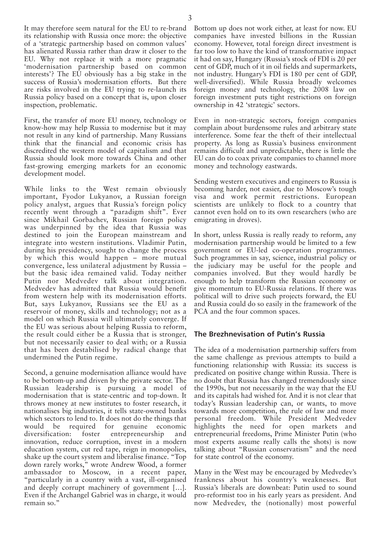It may therefore seem natural for the EU to re-brand its relationship with Russia once more: the objective of a 'strategic partnership based on common values' has alienated Russia rather than draw it closer to the EU. Why not replace it with a more pragmatic 'modernisation partnership based on common interests'? The  $E\overline{U}$  obviously has a big stake in the success of Russia's modernisation efforts. But there are risks involved in the EU trying to re-launch its Russia policy based on a concept that is, upon closer inspection, problematic.

First, the transfer of more EU money, technology or know-how may help Russia to modernise but it may not result in any kind of partnership. Many Russians think that the financial and economic crisis has discredited the western model of capitalism and that Russia should look more towards China and other fast-growing emerging markets for an economic development model.

While links to the West remain obviously important, Fyodor Lukyanov, a Russian foreign policy analyst, argues that Russia's foreign policy recently went through a "paradigm shift". Ever since Mikhail Gorbachev, Russian foreign policy was underpinned by the idea that Russia was destined to join the European mainstream and integrate into western institutions. Vladimir Putin, during his presidency, sought to change the process by which this would happen – more mutual convergence, less unilateral adjustment by Russia – but the basic idea remained valid. Today neither Putin nor Medvedev talk about integration. Medvedev has admitted that Russia would benefit from western help with its modernisation efforts. But, says Lukyanov, Russians see the EU as a reservoir of money, skills and technology; not as a model on which Russia will ultimately converge. If the EU was serious about helping Russia to reform, the result could either be a Russia that is stronger, but not necessarily easier to deal with; or a Russia that has been destabilised by radical change that undermined the Putin regime.

Second, a genuine modernisation alliance would have to be bottom-up and driven by the private sector. The Russian leadership is pursuing a model of modernisation that is state-centric and top-down. It throws money at new institutes to foster research, it nationalises big industries, it tells state-owned banks which sectors to lend to. It does not do the things that would be required for genuine economic<br>diversification: foster entrepreneurship and foster entrepreneurship and innovation, reduce corruption, invest in a modern education system, cut red tape, reign in monopolies, shake up the court system and liberalise finance. "Top down rarely works," wrote Andrew Wood, a former ambassador to Moscow, in a recent paper, "particularly in a country with a vast, ill-organised and deeply corrupt machinery of government […]. Even if the Archangel Gabriel was in charge, it would remain so."

Bottom up does not work either, at least for now. EU companies have invested billions in the Russian economy. However, total foreign direct investment is far too low to have the kind of transformative impact it had on say, Hungary (Russia's stock of FDI is 20 per cent of GDP, much of it in oil fields and supermarkets, not industry. Hungary's FDI is 180 per cent of GDP, well-diversified). While Russia broadly welcomes foreign money and technology, the 2008 law on foreign investment puts tight restrictions on foreign ownership in 42 'strategic' sectors.

Even in non-strategic sectors, foreign companies complain about burdensome rules and arbitrary state interference. Some fear the theft of their intellectual property. As long as Russia's business environment remains difficult and unpredictable, there is little the EU can do to coax private companies to channel more money and technology eastwards.

Sending western executives and engineers to Russia is becoming harder, not easier, due to Moscow's tough visa and work permit restrictions. European scientists are unlikely to flock to a country that cannot even hold on to its own researchers (who are emigrating in droves).

In short, unless Russia is really ready to reform, any modernisation partnership would be limited to a few government or EU-led co-operation programmes. Such programmes in say, science, industrial policy or the judiciary may be useful for the people and companies involved. But they would hardly be enough to help transform the Russian economy or give momentum to EU-Russia relations. If there was political will to drive such projects forward, the EU and Russia could do so easily in the framework of the PCA and the four common spaces.

#### **The Brezhnevisation of Putin's Russia**

The idea of a modernisation partnership suffers from the same challenge as previous attempts to build a functioning relationship with Russia: its success is predicated on positive change within Russia. There is no doubt that Russia has changed tremendously since the 1990s, but not necessarily in the way that the EU and its capitals had wished for. And it is not clear that today's Russian leadership can, or wants, to move towards more competition, the rule of law and more personal freedom. While President Medvedev highlights the need for open markets and entrepreneurial freedoms, Prime Minister Putin (who most experts assume really calls the shots) is now talking about "Russian conservatism" and the need for state control of the economy.

Many in the West may be encouraged by Medvedev's frankness about his country's weaknesses. But Russia's liberals are downbeat: Putin used to sound pro-reformist too in his early years as president. And now Medvedev, the (notionally) most powerful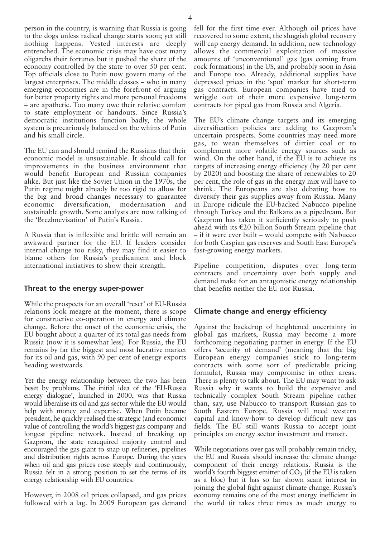person in the country, is warning that Russia is going to the dogs unless radical change starts soon; yet still nothing happens. Vested interests are deeply entrenched. The economic crisis may have cost many oligarchs their fortunes but it pushed the share of the economy controlled by the state to over 50 per cent. Top officials close to Putin now govern many of the largest enterprises. The middle classes – who in many emerging economies are in the forefront of arguing for better property rights and more personal freedoms – are apathetic. Too many owe their relative comfort to state employment or handouts. Since Russia's democratic institutions function badly, the whole

The EU can and should remind the Russians that their economic model is unsustainable. It should call for improvements in the business environment that would benefit European and Russian companies alike. But just like the Soviet Union in the 1970s, the Putin regime might already be too rigid to allow for the big and broad changes necessary to guarantee economic diversification, modernisation and sustainable growth. Some analysts are now talking of the 'Brezhnevisation' of Putin's Russia.

system is precariously balanced on the whims of Putin

and his small circle.

A Russia that is inflexible and brittle will remain an awkward partner for the EU. If leaders consider internal change too risky, they may find it easier to blame others for Russia's predicament and block international initiatives to show their strength.

## **Threat to the energy super-power**

While the prospects for an overall 'reset' of EU-Russia relations look meagre at the moment, there is scope for constructive co-operation in energy and climate change. Before the onset of the economic crisis, the EU bought about a quarter of its total gas needs from Russia (now it is somewhat less). For Russia, the EU remains by far the biggest and most lucrative market for its oil and gas, with 90 per cent of energy exports heading westwards.

Yet the energy relationship between the two has been beset by problems. The initial idea of the 'EU-Russia energy dialogue', launched in 2000, was that Russia would liberalise its oil and gas sector while the EU would help with money and expertise. When Putin became president, he quickly realised the strategic (and economic) value of controlling the world's biggest gas company and longest pipeline network. Instead of breaking up Gazprom, the state reacquired majority control and encouraged the gas giant to snap up refineries, pipelines and distribution rights across Europe. During the years when oil and gas prices rose steeply and continuously, Russia felt in a strong position to set the terms of its energy relationship with EU countries.

However, in 2008 oil prices collapsed, and gas prices followed with a lag. In 2009 European gas demand fell for the first time ever. Although oil prices have recovered to some extent, the sluggish global recovery will cap energy demand. In addition, new technology allows the commercial exploitation of massive amounts of 'unconventional' gas (gas coming from rock formations) in the US, and probably soon in Asia and Europe too. Already, additional supplies have depressed prices in the 'spot' market for short-term gas contracts. European companies have tried to wriggle out of their more expensive long-term contracts for piped gas from Russia and Algeria.

The EU's climate change targets and its emerging diversification policies are adding to Gazprom's uncertain prospects. Some countries may need more gas, to wean themselves of dirtier coal or to complement more volatile energy sources such as wind. On the other hand, if the EU is to achieve its targets of increasing energy efficiency (by 20 per cent by 2020) and boosting the share of renewables to 20 per cent, the role of gas in the energy mix will have to shrink. The Europeans are also debating how to diversify their gas supplies away from Russia. Many in Europe ridicule the EU-backed Nabucco pipeline through Turkey and the Balkans as a pipedream. But Gazprom has taken it sufficiently seriously to push ahead with its  $E20$  billion South Stream pipeline that – if it were ever built – would compete with Nabucco for both Caspian gas reserves and South East Europe's fast-growing energy markets.

Pipeline competition, disputes over long-term contracts and uncertainty over both supply and demand make for an antagonistic energy relationship that benefits neither the EU nor Russia.

## **Climate change and energy efficiency**

Against the backdrop of heightened uncertainty in global gas markets, Russia may become a more forthcoming negotiating partner in energy. If the EU offers 'security of demand' (meaning that the big European energy companies stick to long-term contracts with some sort of predictable pricing formula), Russia may compromise in other areas. There is plenty to talk about. The EU may want to ask Russia why it wants to build the expensive and technically complex South Stream pipeline rather than, say, use Nabucco to transport Russian gas to South Eastern Europe. Russia will need western capital and know-how to develop difficult new gas fields. The EU still wants Russia to accept joint principles on energy sector investment and transit.

While negotiations over gas will probably remain tricky, the EU and Russia should increase the climate change component of their energy relations. Russia is the world's fourth biggest emitter of  $CO<sub>2</sub>$  (if the EU is taken as a bloc) but it has so far shown scant interest in joining the global fight against climate change. Russia's economy remains one of the most energy inefficient in the world (it takes three times as much energy to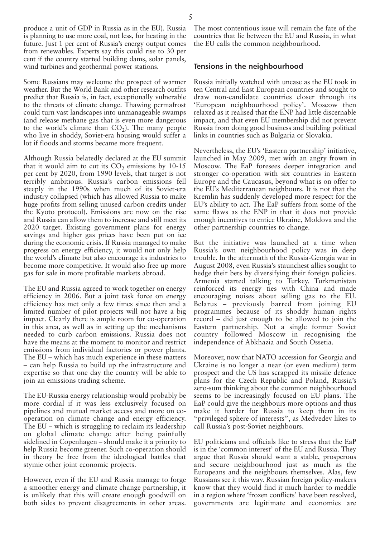produce a unit of GDP in Russia as in the EU). Russia is planning to use more coal, not less, for heating in the future. Just 1 per cent of Russia's energy output comes from renewables. Experts say this could rise to 30 per cent if the country started building dams, solar panels, wind turbines and geothermal power stations.

Some Russians may welcome the prospect of warmer weather. But the World Bank and other research outfits predict that Russia is, in fact, exceptionally vulnerable to the threats of climate change. Thawing permafrost could turn vast landscapes into unmanageable swamps (and release methane gas that is even more dangerous to the world's climate than  $CO<sub>2</sub>$ ). The many people who live in shoddy, Soviet-era housing would suffer a lot if floods and storms became more frequent.

Although Russia belatedly declared at the EU summit that it would aim to cut its  $CO<sub>2</sub>$  emissions by 10-15 per cent by 2020, from 1990 levels, that target is not terribly ambitious. Russia's carbon emissions fell steeply in the 1990s when much of its Soviet-era industry collapsed (which has allowed Russia to make huge profits from selling unused carbon credits under the Kyoto protocol). Emissions are now on the rise and Russia can allow them to increase and still meet its 2020 target. Existing government plans for energy savings and higher gas prices have been put on ice during the economic crisis. If Russia managed to make progress on energy efficiency, it would not only help the world's climate but also encourage its industries to become more competitive. It would also free up more gas for sale in more profitable markets abroad.

The EU and Russia agreed to work together on energy efficiency in 2006. But a joint task force on energy efficiency has met only a few times since then and a limited number of pilot projects will not have a big impact. Clearly there is ample room for co-operation in this area, as well as in setting up the mechanisms needed to curb carbon emissions. Russia does not have the means at the moment to monitor and restrict emissions from individual factories or power plants. The EU – which has much experience in these matters – can help Russia to build up the infrastructure and expertise so that one day the country will be able to join an emissions trading scheme.

The EU-Russia energy relationship would probably be more cordial if it was less exclusively focused on pipelines and mutual market access and more on cooperation on climate change and energy efficiency. The EU – which is struggling to reclaim its leadership on global climate change after being painfully sidelined in Copenhagen – should make it a priority to help Russia become greener. Such co-operation should in theory be free from the ideological battles that stymie other joint economic projects.

However, even if the EU and Russia manage to forge a smoother energy and climate change partnership, it is unlikely that this will create enough goodwill on both sides to prevent disagreements in other areas.

The most contentious issue will remain the fate of the countries that lie between the EU and Russia, in what the EU calls the common neighbourhood.

#### **Tensions in the neighbourhood**

Russia initially watched with unease as the EU took in ten Central and East European countries and sought to draw non-candidate countries closer through its 'European neighbourhood policy'. Moscow then relaxed as it realised that the ENP had little discernable impact, and that even EU membership did not prevent Russia from doing good business and building political links in countries such as Bulgaria or Slovakia.

Nevertheless, the EU's 'Eastern partnership' initiative, launched in May 2009, met with an angry frown in Moscow. The EaP foresees deeper integration and stronger co-operation with six countries in Eastern Europe and the Caucasus, beyond what is on offer to the EU's Mediterranean neighbours. It is not that the Kremlin has suddenly developed more respect for the EU's ability to act. The EaP suffers from some of the same flaws as the ENP in that it does not provide enough incentives to entice Ukraine, Moldova and the other partnership countries to change.

But the initiative was launched at a time when Russia's own neighbourhood policy was in deep trouble. In the aftermath of the Russia-Georgia war in August 2008, even Russia's staunchest allies sought to hedge their bets by diversifying their foreign policies. Armenia started talking to Turkey. Turkmenistan reinforced its energy ties with China and made encouraging noises about selling gas to the EU. Belarus – previously barred from joining EU programmes because of its shoddy human rights record – did just enough to be allowed to join the Eastern partnership. Not a single former Soviet country followed Moscow in recognising the independence of Abkhazia and South Ossetia.

Moreover, now that NATO accession for Georgia and Ukraine is no longer a near (or even medium) term prospect and the US has scrapped its missile defence plans for the Czech Republic and Poland, Russia's zero-sum thinking about the common neighbourhood seems to be increasingly focused on EU plans. The EaP could give the neighbours more options and thus make it harder for Russia to keep them in its "privileged sphere of interests", as Medvedev likes to call Russia's post-Soviet neighbours.

EU politicians and officials like to stress that the EaP is in the 'common interest' of the EU and Russia. They argue that Russia should want a stable, prosperous and secure neighbourhood just as much as the Europeans and the neighbours themselves. Alas, few Russians see it this way. Russian foreign policy-makers know that they would find it much harder to meddle in a region where 'frozen conflicts' have been resolved, governments are legitimate and economies are